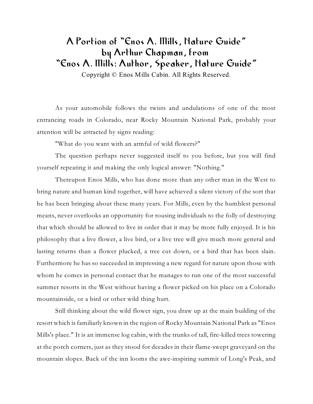## A Portion of "Enos A. Mills, Nature Guide" by Arthur Chapman, from "Enos A. Mills: Author, Speaker, Nature Guide"

Copyright © Enos Mills Cabin. All Rights Reserved.

As your automobile follows the twists and undulations of one of the most entrancing roads in Colorado, near Rocky Mountain National Park, probably your attention will be attracted by signs reading:

"What do you want with an armful of wild flowers?"

The question perhaps never suggested itself to you before, but you will find yourself repeating it and making the only logical answer: "Nothing."

Thereupon Enos Mills, who has done more than any other man in the West to bring nature and human kind together, will have achieved a silent victory of the sort that he has been bringing about these many years. For Mills, even by the humblest personal means, never overlooks an opportunity for rousing individuals to the folly of destroying that which should be allowed to live in order that it may be more fully enjoyed. It is his philosophy that a live flower, a live bird, or a live tree will give much more general and lasting returns than a flower plucked, a tree cut down, or a bird that has been slain. Furthermore he has so succeeded in impressing a new regard for nature upon those with whom he comes in personal contact that he manages to run one of the most successful summer resorts in the West without having a flower picked on his place on a Colorado mountainside, or a bird or other wild thing hurt.

Still thinking about the wild flower sign, you draw up at the main building of the resort which is familiarly known in the region of Rocky Mountain National Park as "Enos Mills's place." It is an immense log cabin, with the trunks of tall, fire-killed trees towering at the porch corners, just as they stood for decades in their flame-swept graveyard on the mountain slopes. Back of the inn looms the awe-inspiring summit of Long's Peak, and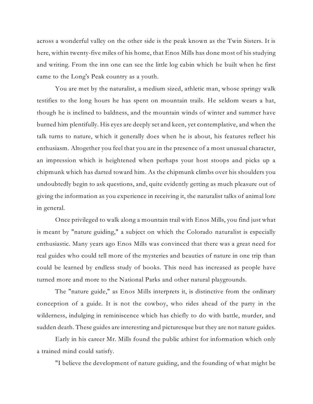across a wonderful valley on the other side is the peak known as the Twin Sisters. It is here, within twenty-five miles of his home, that Enos Mills has done most of his studying and writing. From the inn one can see the little log cabin which he built when he first came to the Long's Peak country as a youth.

You are met by the naturalist, a medium sized, athletic man, whose springy walk testifies to the long hours he has spent on mountain trails. He seldom wears a hat, though he is inclined to baldness, and the mountain winds of winter and summer have burned him plentifully. His eyes are deeply set and keen, yet contemplative, and when the talk turns to nature, which it generally does when he is about, his features reflect his enthusiasm. Altogether you feel that you are in the presence of a most unusual character, an impression which is heightened when perhaps your host stoops and picks up a chipmunk which has darted toward him. As the chipmunk climbs over his shoulders you undoubtedly begin to ask questions, and, quite evidently getting as much pleasure out of giving the information as you experience in receiving it, the naturalist talks of animal lore in general.

Once privileged to walk along a mountain trail with Enos Mills, you find just what is meant by "nature guiding," a subject on which the Colorado naturalist is especially enthusiastic. Many years ago Enos Mills was convinced that there was a great need for real guides who could tell more of the mysteries and beauties of nature in one trip than could be learned by endless study of books. This need has increased as people have turned more and more to the National Parks and other natural playgrounds.

The "nature guide," as Enos Mills interprets it, is distinctive from the ordinary conception of a guide. It is not the cowboy, who rides ahead of the party in the wilderness, indulging in reminiscence which has chiefly to do with battle, murder, and sudden death. These guides are interesting and picturesque but they are not nature guides.

Early in his career Mr. Mills found the public athirst for information which only a trained mind could satisfy.

"I believe the development of nature guiding, and the founding of what might be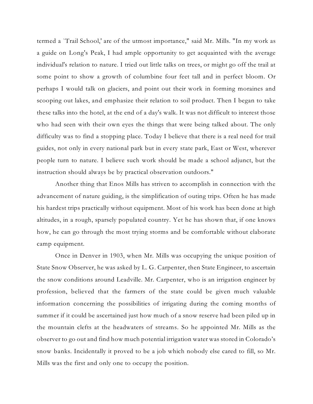termed a `Trail School,' are of the utmost importance," said Mr. Mills. "In my work as a guide on Long's Peak, I had ample opportunity to get acquainted with the average individual's relation to nature. I tried out little talks on trees, or might go off the trail at some point to show a growth of columbine four feet tall and in perfect bloom. Or perhaps I would talk on glaciers, and point out their work in forming moraines and scooping out lakes, and emphasize their relation to soil product. Then I began to take these talks into the hotel, at the end of a day's walk. It was not difficult to interest those who had seen with their own eyes the things that were being talked about. The only difficulty was to find a stopping place. Today I believe that there is a real need for trail guides, not only in every national park but in every state park, East or West, wherever people turn to nature. I believe such work should be made a school adjunct, but the instruction should always be by practical observation outdoors."

Another thing that Enos Mills has striven to accomplish in connection with the advancement of nature guiding, is the simplification of outing trips. Often he has made his hardest trips practically without equipment. Most of his work has been done at high altitudes, in a rough, sparsely populated country. Yet he has shown that, if one knows how, he can go through the most trying storms and be comfortable without elaborate camp equipment.

Once in Denver in 1903, when Mr. Mills was occupying the unique position of State Snow Observer, he was asked by L. G. Carpenter, then State Engineer, to ascertain the snow conditions around Leadville. Mr. Carpenter, who is an irrigation engineer by profession, believed that the farmers of the state could be given much valuable information concerning the possibilities of irrigating during the coming months of summer if it could be ascertained just how much of a snow reserve had been piled up in the mountain clefts at the headwaters of streams. So he appointed Mr. Mills as the observer to go out and find how much potential irrigation water was stored in Colorado's snow banks. Incidentally it proved to be a job which nobody else cared to fill, so Mr. Mills was the first and only one to occupy the position.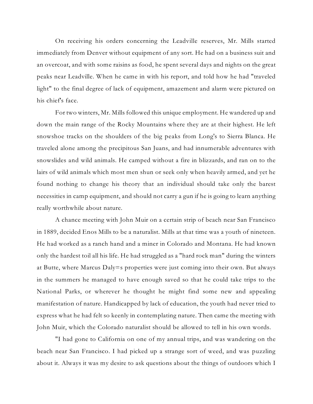On receiving his orders concerning the Leadville reserves, Mr. Mills started immediately from Denver without equipment of any sort. He had on a business suit and an overcoat, and with some raisins as food, he spent several days and nights on the great peaks near Leadville. When he came in with his report, and told how he had "traveled light" to the final degree of lack of equipment, amazement and alarm were pictured on his chief's face.

For two winters, Mr. Mills followed this unique employment. He wandered up and down the main range of the Rocky Mountains where they are at their highest. He left snowshoe tracks on the shoulders of the big peaks from Long's to Sierra Blanca. He traveled alone among the precipitous San Juans, and had innumerable adventures with snowslides and wild animals. He camped without a fire in blizzards, and ran on to the lairs of wild animals which most men shun or seek only when heavily armed, and yet he found nothing to change his theory that an individual should take only the barest necessities in camp equipment, and should not carry a gun if he is going to learn anything really worthwhile about nature.

A chance meeting with John Muir on a certain strip of beach near San Francisco in 1889, decided Enos Mills to be a naturalist. Mills at that time was a youth of nineteen. He had worked as a ranch hand and a miner in Colorado and Montana. He had known only the hardest toil all his life. He had struggled as a "hard rock man" during the winters at Butte, where Marcus Daly=s properties were just coming into their own. But always in the summers he managed to have enough saved so that he could take trips to the National Parks, or wherever he thought he might find some new and appealing manifestation of nature. Handicapped by lack of education, the youth had never tried to express what he had felt so keenly in contemplating nature. Then came the meeting with John Muir, which the Colorado naturalist should be allowed to tell in his own words.

"I had gone to California on one of my annual trips, and was wandering on the beach near San Francisco. I had picked up a strange sort of weed, and was puzzling about it. Always it was my desire to ask questions about the things of outdoors which I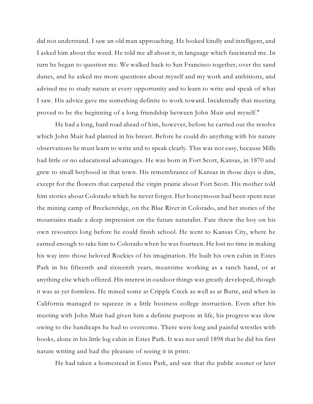did not understand. I saw an old man approaching. He looked kindly and intelligent, and I asked him about the weed. He told me all about it, in language which fascinated me. In turn he began to question me. We walked back to San Francisco together, over the sand dunes, and he asked me more questions about myself and my work and ambitions, and advised me to study nature at every opportunity and to learn to write and speak of what I saw. His advice gave me something definite to work toward. Incidentally that meeting proved to be the beginning of a long friendship between John Muir and myself."

He had a long, hard road ahead of him, however, before he carried out the resolve which John Muir had planted in his breast. Before he could do anything with his nature observations he must learn to write and to speak clearly. This was not easy, because Mills had little or no educational advantages. He was born in Fort Scott, Kansas, in 1870 and grew to small boyhood in that town. His remembrance of Kansas in those days is dim, except for the flowers that carpeted the virgin prairie about Fort Scott. His mother told him stories about Colorado which he never forgot. Her honeymoon had been spent near the mining camp of Breckenridge, on the Blue River in Colorado, and her stories of the mountains made a deep impression on the future naturalist. Fate threw the boy on his own resources long before he could finish school. He went to Kansas City, where he earned enough to take him to Colorado when he was fourteen. He lost no time in making his way into those beloved Rockies of his imagination. He built his own cabin in Estes Park in his fifteenth and sixteenth years, meantime working as a ranch hand, or at anything else which offered. His interest in outdoor things was greatly developed, though it was as yet formless. He mined some at Cripple Creek as well as at Butte, and when in California managed to squeeze in a little business college instruction. Even after his meeting with John Muir had given him a definite purpose in life, his progress was slow owing to the handicaps he had to overcome. There were long and painful wrestles with books, alone in his little log cabin in Estes Park. It was not until 1898 that he did his first nature writing and had the pleasure of seeing it in print.

He had taken a homestead in Estes Park, and saw that the public sooner or later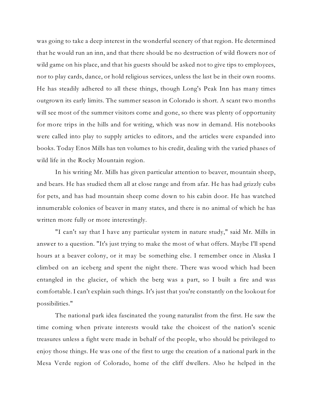was going to take a deep interest in the wonderful scenery of that region. He determined that he would run an inn, and that there should be no destruction of wild flowers nor of wild game on his place, and that his guests should be asked not to give tips to employees, nor to play cards, dance, or hold religious services, unless the last be in their own rooms. He has steadily adhered to all these things, though Long's Peak Inn has many times outgrown its early limits. The summer season in Colorado is short. A scant two months will see most of the summer visitors come and gone, so there was plenty of opportunity for more trips in the hills and for writing, which was now in demand. His notebooks were called into play to supply articles to editors, and the articles were expanded into books. Today Enos Mills has ten volumes to his credit, dealing with the varied phases of wild life in the Rocky Mountain region.

In his writing Mr. Mills has given particular attention to beaver, mountain sheep, and bears. He has studied them all at close range and from afar. He has had grizzly cubs for pets, and has had mountain sheep come down to his cabin door. He has watched innumerable colonies of beaver in many states, and there is no animal of which he has written more fully or more interestingly.

"I can't say that I have any particular system in nature study," said Mr. Mills in answer to a question. "It's just trying to make the most of what offers. Maybe I'll spend hours at a beaver colony, or it may be something else. I remember once in Alaska I climbed on an iceberg and spent the night there. There was wood which had been entangled in the glacier, of which the berg was a part, so I built a fire and was comfortable. I can't explain such things. It's just that you're constantly on the lookout for possibilities."

The national park idea fascinated the young naturalist from the first. He saw the time coming when private interests would take the choicest of the nation's scenic treasures unless a fight were made in behalf of the people, who should be privileged to enjoy those things. He was one of the first to urge the creation of a national park in the Mesa Verde region of Colorado, home of the cliff dwellers. Also he helped in the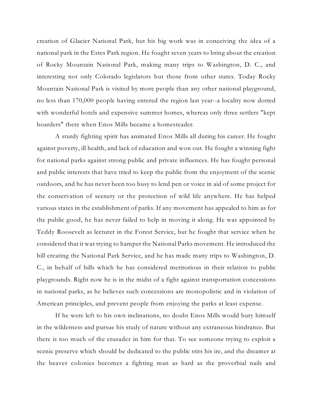creation of Glacier National Park, but his big work was in conceiving the idea of a national park in the Estes Park region. He fought seven years to bring about the creation of Rocky Mountain National Park, making many trips to Washington, D. C., and interesting not only Colorado legislators but those from other states. Today Rocky Mountain National Park is visited by more people than any other national playground, no less than 170,000 people having entered the region last year--a locality now dotted with wonderful hotels and expensive summer homes, whereas only three settlers "kept boarders" there when Enos Mills became a homesteader.

A sturdy fighting spirit has animated Enos Mills all during his career. He fought against poverty, ill health, and lack of education and won out. He fought a winning fight for national parks against strong public and private influences. He has fought personal and public interests that have tried to keep the public from the enjoyment of the scenic outdoors, and he has never been too busy to lend pen or voice in aid of some project for the conservation of scenery or the protection of wild life anywhere. He has helped various states in the establishment of parks. If any movement has appealed to him as for the public good, he has never failed to help in moving it along. He was appointed by Teddy Roosevelt as lecturer in the Forest Service, but he fought that service when he considered that it was trying to hamper the National Parks movement. He introduced the bill creating the National Park Service, and he has made many trips to Washington, D. C., in behalf of bills which he has considered meritorious in their relation to public playgrounds. Right now he is in the midst of a fight against transportation concessions in national parks, as he believes such concessions are monopolistic and in violation of American principles, and prevent people from enjoying the parks at least expense.

If he were left to his own inclinations, no doubt Enos Mills would bury himself in the wilderness and pursue his study of nature without any extraneous hindrance. But there is too much of the crusader in him for that. To see someone trying to exploit a scenic preserve which should be dedicated to the public stirs his ire, and the dreamer at the beaver colonies becomes a fighting man as hard as the proverbial nails and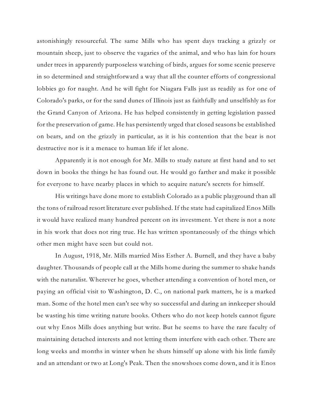astonishingly resourceful. The same Mills who has spent days tracking a grizzly or mountain sheep, just to observe the vagaries of the animal, and who has lain for hours under trees in apparently purposeless watching of birds, argues for some scenic preserve in so determined and straightforward a way that all the counter efforts of congressional lobbies go for naught. And he will fight for Niagara Falls just as readily as for one of Colorado's parks, or for the sand dunes of Illinois just as faithfully and unselfishly as for the Grand Canyon of Arizona. He has helped consistently in getting legislation passed for the preservation of game. He has persistently urged that closed seasons be established on bears, and on the grizzly in particular, as it is his contention that the bear is not destructive nor is it a menace to human life if let alone.

Apparently it is not enough for Mr. Mills to study nature at first hand and to set down in books the things he has found out. He would go farther and make it possible for everyone to have nearby places in which to acquire nature's secrets for himself.

His writings have done more to establish Colorado as a public playground than all the tons of railroad resort literature ever published. If the state had capitalized Enos Mills it would have realized many hundred percent on its investment. Yet there is not a note in his work that does not ring true. He has written spontaneously of the things which other men might have seen but could not.

In August, 1918, Mr. Mills married Miss Esther A. Burnell, and they have a baby daughter. Thousands of people call at the Mills home during the summer to shake hands with the naturalist. Wherever he goes, whether attending a convention of hotel men, or paying an official visit to Washington, D. C., on national park matters, he is a marked man. Some of the hotel men can't see why so successful and daring an innkeeper should be wasting his time writing nature books. Others who do not keep hotels cannot figure out why Enos Mills does anything but write. But he seems to have the rare faculty of maintaining detached interests and not letting them interfere with each other. There are long weeks and months in winter when he shuts himself up alone with his little family and an attendant or two at Long's Peak. Then the snowshoes come down, and it is Enos